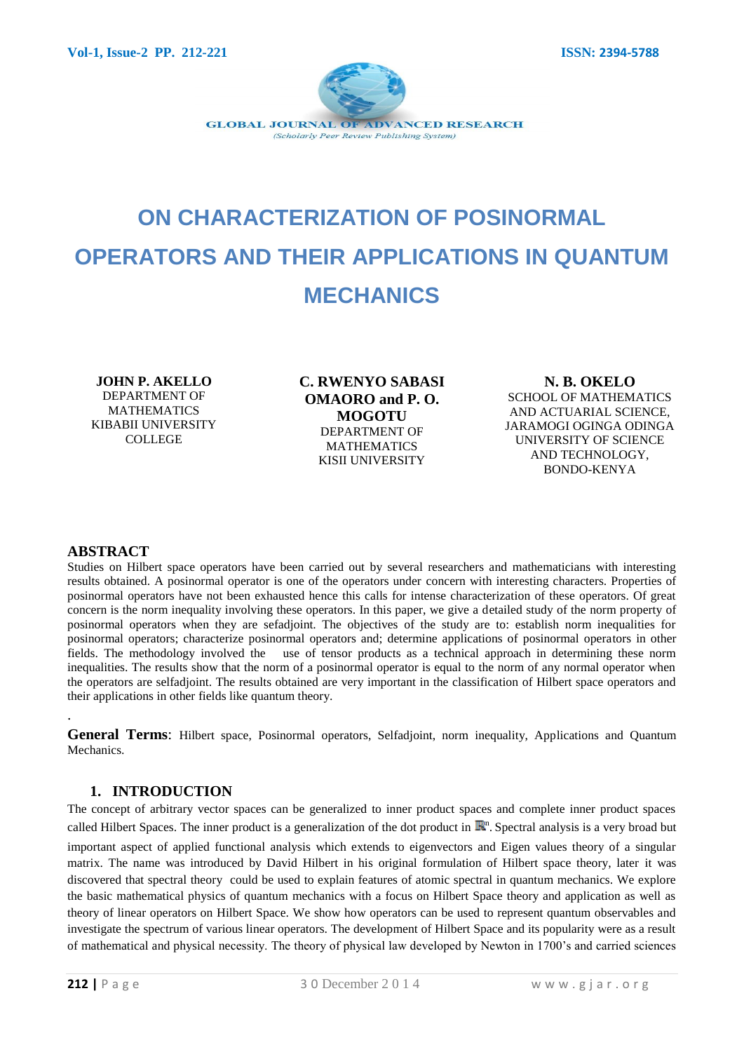

# **ON CHARACTERIZATION OF POSINORMAL OPERATORS AND THEIR APPLICATIONS IN QUANTUM MECHANICS**

**JOHN P. AKELLO** DEPARTMENT OF MATHEMATICS KIBABII UNIVERSITY COLLEGE

**C. RWENYO SABASI OMAORO and P. O. MOGOTU** DEPARTMENT OF **MATHEMATICS** KISII UNIVERSITY

**N. B. OKELO** SCHOOL OF MATHEMATICS AND ACTUARIAL SCIENCE, JARAMOGI OGINGA ODINGA UNIVERSITY OF SCIENCE AND TECHNOLOGY, BONDO-KENYA

#### **ABSTRACT**

.

Studies on Hilbert space operators have been carried out by several researchers and mathematicians with interesting results obtained. A posinormal operator is one of the operators under concern with interesting characters. Properties of posinormal operators have not been exhausted hence this calls for intense characterization of these operators. Of great concern is the norm inequality involving these operators. In this paper, we give a detailed study of the norm property of posinormal operators when they are sefadjoint. The objectives of the study are to: establish norm inequalities for posinormal operators; characterize posinormal operators and; determine applications of posinormal operators in other fields. The methodology involved the use of tensor products as a technical approach in determining these norm inequalities. The results show that the norm of a posinormal operator is equal to the norm of any normal operator when the operators are selfadjoint. The results obtained are very important in the classification of Hilbert space operators and their applications in other fields like quantum theory.

**General Terms**: Hilbert space, Posinormal operators, Selfadjoint, norm inequality, Applications and Quantum Mechanics.

## **1. INTRODUCTION**

The concept of arbitrary vector spaces can be generalized to inner product spaces and complete inner product spaces called Hilbert Spaces. The inner product is a generalization of the dot product in  $\mathbb{R}^n$ . Spectral analysis is a very broad but important aspect of applied functional analysis which extends to eigenvectors and Eigen values theory of a singular matrix. The name was introduced by David Hilbert in his original formulation of Hilbert space theory, later it was discovered that spectral theory could be used to explain features of atomic spectral in quantum mechanics. We explore the basic mathematical physics of quantum mechanics with a focus on Hilbert Space theory and application as well as theory of linear operators on Hilbert Space. We show how operators can be used to represent quantum observables and investigate the spectrum of various linear operators. The development of Hilbert Space and its popularity were as a result of mathematical and physical necessity. The theory of physical law developed by Newton in 1700's and carried sciences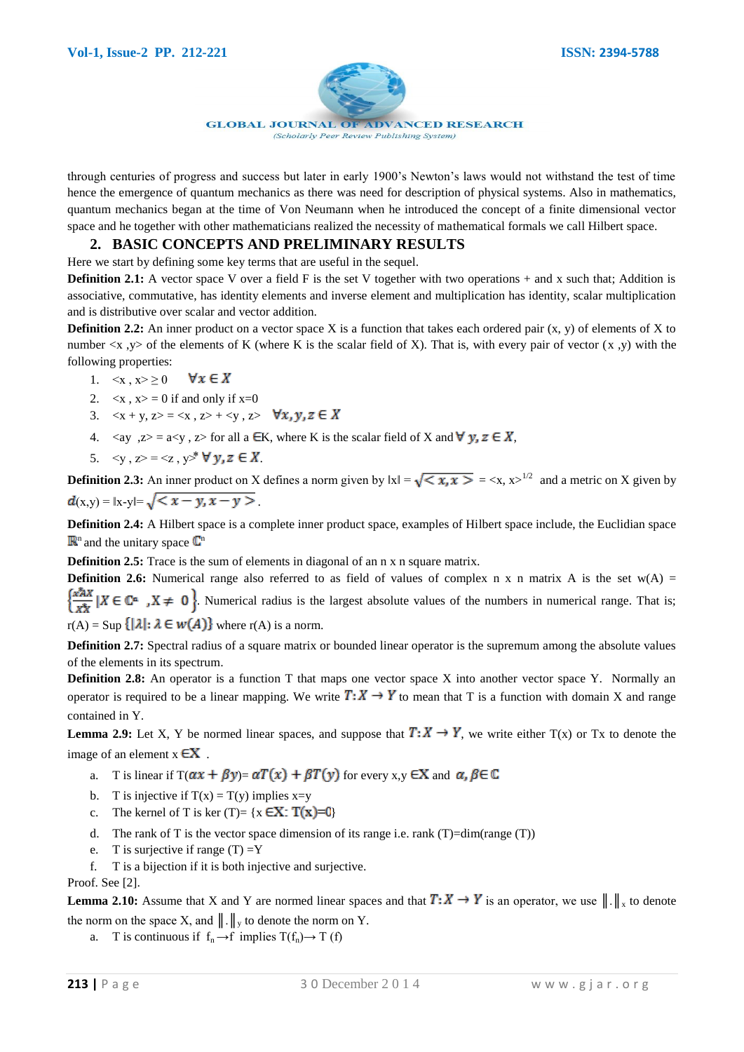

through centuries of progress and success but later in early 1900's Newton's laws would not withstand the test of time hence the emergence of quantum mechanics as there was need for description of physical systems. Also in mathematics, quantum mechanics began at the time of Von Neumann when he introduced the concept of a finite dimensional vector space and he together with other mathematicians realized the necessity of mathematical formals we call Hilbert space.

## **2. BASIC CONCEPTS AND PRELIMINARY RESULTS**

Here we start by defining some key terms that are useful in the sequel.

**Definition 2.1:** A vector space V over a field F is the set V together with two operations + and x such that; Addition is associative, commutative, has identity elements and inverse element and multiplication has identity, scalar multiplication and is distributive over scalar and vector addition.

**Definition 2.2:** An inner product on a vector space X is a function that takes each ordered pair  $(x, y)$  of elements of X to number  $\langle x, y \rangle$  of the elements of K (where K is the scalar field of X). That is, with every pair of vector  $(x, y)$  with the following properties:

- $\forall x \in X$ 1.  $\langle x, x \rangle \ge 0$
- 2.  $\langle x, x \rangle = 0$  if and only if  $x=0$
- 3.  $\langle x + y, z \rangle = \langle x, z \rangle + \langle y, z \rangle$   $\forall x, y, z \in X$
- 4.  $\langle ay, z \rangle = a \langle y, z \rangle$  for all a  $\in$ K, where K is the scalar field of X and  $\forall y, z \in X$ ,
- 5.  $\langle y, z \rangle = \langle z, y \rangle^* \forall y, z \in X$ .

**Definition 2.3:** An inner product on X defines a norm given by  $|x| = \sqrt{\langle x, x \rangle} = \langle x, x \rangle^{1/2}$  and a metric on X given by  $d(x,y) = ||x-y|| = \sqrt{\langle x-y, x-y \rangle}$ .

**Definition 2.4:** A Hilbert space is a complete inner product space, examples of Hilbert space include, the Euclidian space  $\mathbb{R}^n$  and the unitary space  $\mathbb{C}^n$ 

**Definition 2.5:** Trace is the sum of elements in diagonal of an n x n square matrix.

**Definition 2.6:** Numerical range also referred to as field of values of complex n x n matrix A is the set  $w(A)$  =  $\left\{\frac{x^*X}{x^*} \mid X \in \mathbb{C}^n$ ,  $X \neq 0$ . Numerical radius is the largest absolute values of the numbers in numerical range. That is;  $r(A) = \text{Sup} \{ |\lambda| : \lambda \in w(A) \}$  where  $r(A)$  is a norm.

**Definition 2.7:** Spectral radius of a square matrix or bounded linear operator is the supremum among the absolute values of the elements in its spectrum.

**Definition 2.8:** An operator is a function T that maps one vector space X into another vector space Y. Normally an operator is required to be a linear mapping. We write  $T: X \to Y$  to mean that T is a function with domain X and range contained in Y.

**Lemma 2.9:** Let X, Y be normed linear spaces, and suppose that  $T: X \to Y$ , we write either  $T(x)$  or Tx to denote the image of an element  $x \in X$ .

- a. T is linear if  $T(\alpha x + \beta y) = \alpha T(x) + \beta T(y)$  for every x,  $y \in X$  and  $\alpha, \beta \in \mathbb{C}$
- b. T is injective if  $T(x) = T(y)$  implies  $x=y$
- c. The kernel of T is ker (T)=  $\{x \in X: T(x)=0\}$
- d. The rank of T is the vector space dimension of its range i.e. rank  $(T)=dim(range(T))$
- e. T is surjective if range  $(T) = Y$
- f. T is a bijection if it is both injective and surjective.

Proof. See [2].

**Lemma 2.10:** Assume that X and Y are normed linear spaces and that  $T: X \to Y$  is an operator, we use  $\|\cdot\|_x$  to denote the norm on the space X, and  $\| \cdot \|_{v}$  to denote the norm on Y.

a. T is continuous if  $f_n \to f$  implies  $T(f_n) \to T(f)$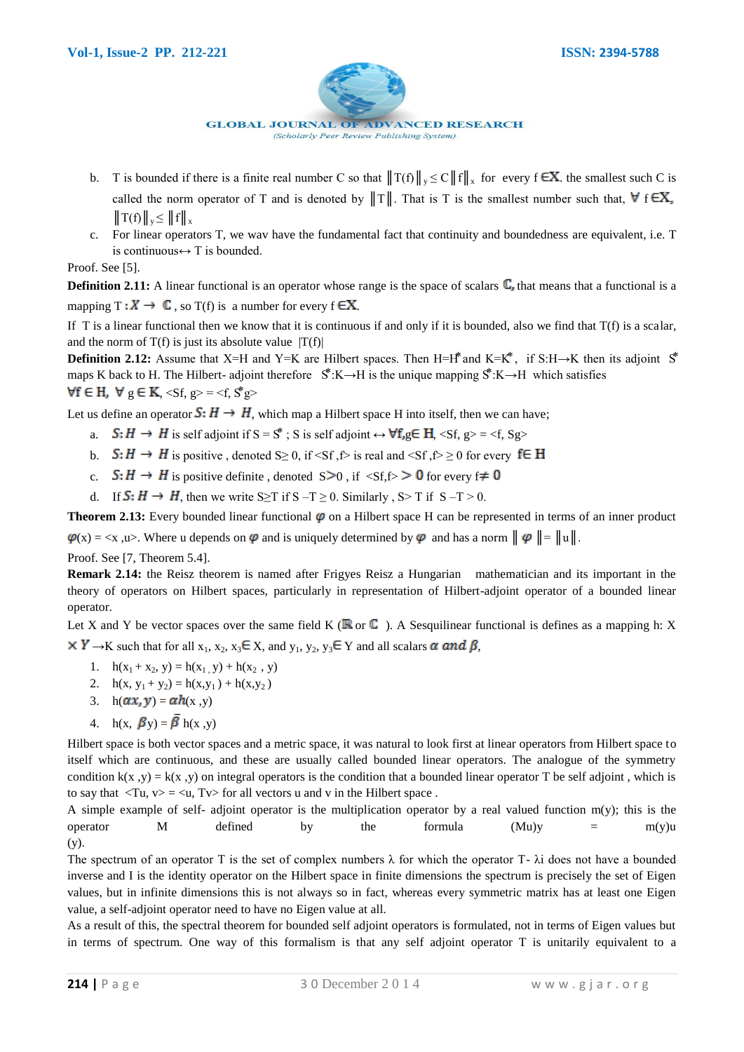

- b. T is bounded if there is a finite real number C so that  $||T(f)||_y \le C||f||_x$  for every  $f \in X$  the smallest such C is called the norm operator of T and is denoted by  $||T||$ . That is T is the smallest number such that,  $\forall$  f  $\in X$ ,  $||T(f)||_v \leq ||f||_v$
- c. For linear operators T, we wav have the fundamental fact that continuity and boundedness are equivalent, i.e. T is continuous  $\leftrightarrow$  T is bounded.

Proof. See [5].

**Definition 2.11:** A linear functional is an operator whose range is the space of scalars  $\mathbb{C}$ , that means that a functional is a mapping  $T : X \to \mathbb{C}$ , so  $T(f)$  is a number for every  $f \in X$ .

If T is a linear functional then we know that it is continuous if and only if it is bounded, also we find that  $T(f)$  is a scalar, and the norm of  $T(f)$  is just its absolute value  $|T(f)|$ 

**Definition 2.12:** Assume that X=H and Y=K are Hilbert spaces. Then H=H<sup>\*</sup> and K=K<sup>\*</sup>, if S:H→K then its adjoint  $S^*$ maps K back to H. The Hilbert- adjoint therefore  $\mathbb{S}^*$ :K→H is the unique mapping  $\mathbb{S}^*$ :K→H which satisfies  $\forall f \in H$ ,  $\forall g \in K$ ,  $\langle Sf, g \rangle = \langle f, S^*g \rangle$ 

Let us define an operator  $S: H \to H$ , which map a Hilbert space H into itself, then we can have;

- a.  $S: H \to H$  is self adjoint if  $S = S^*$ ; S is self adjoint  $\leftrightarrow \forall f, g \in H$ ,  $\langle Sf, g \rangle = \langle f, Sg \rangle$
- b.  $S: H \to H$  is positive , denoted S≥ 0, if <Sf ,f> is real and <Sf ,f> ≥ 0 for every f∈ H
- c.  $S: H \to H$  is positive definite , denoted  $S \ge 0$ , if  $\langle Sf, f \rangle \ge 0$  for every  $f \ne 0$
- d. If  $S: H \to H$ , then we write S≥T if S –T ≥ 0. Similarly , S>T if S –T > 0.

**Theorem 2.13:** Every bounded linear functional  $\varphi$  on a Hilbert space H can be represented in terms of an inner product  $\varphi(x) = \langle x, u \rangle$ . Where u depends on  $\varphi$  and is uniquely determined by  $\varphi$  and has a norm  $|| \varphi || = ||u||$ .

Proof. See [7, Theorem 5.4].

**Remark 2.14:** the Reisz theorem is named after Frigyes Reisz a Hungarian mathematician and its important in the theory of operators on Hilbert spaces, particularly in representation of Hilbert-adjoint operator of a bounded linear operator.

Let X and Y be vector spaces over the same field K ( $\mathbb{R}$  or  $\mathbb{C}$ ). A Sesquilinear functional is defines as a mapping h: X  $\times$  Y  $\rightarrow$ K such that for all x<sub>1</sub>, x<sub>2</sub>, x<sub>3</sub> $\in$  X, and y<sub>1</sub>, y<sub>2</sub>, y<sub>3</sub> $\in$  Y and all scalars  $\alpha$  and  $\beta$ ,

- 1.  $h(x_1 + x_2, y) = h(x_1, y) + h(x_2, y)$
- 2.  $h(x, y_1 + y_2) = h(x, y_1) + h(x, y_2)$
- 3. h $(\alpha x, y) = \alpha h(x, y)$
- 4. h(x,  $\mathbf{\beta}$ y) =  $\overline{\mathbf{\beta}}$  h(x, y)

Hilbert space is both vector spaces and a metric space, it was natural to look first at linear operators from Hilbert space to itself which are continuous, and these are usually called bounded linear operators. The analogue of the symmetry condition k(x, y) = k(x, y) on integral operators is the condition that a bounded linear operator T be self adjoint, which is to say that  $\langle Tu, v \rangle = \langle u, Tv \rangle$  for all vectors u and v in the Hilbert space.

A simple example of self- adjoint operator is the multiplication operator by a real valued function  $m(y)$ ; this is the operator M defined by the formula  $(Mu)y = m(y)u$ (y).

The spectrum of an operator T is the set of complex numbers  $\lambda$  for which the operator T-  $\lambda$ i does not have a bounded inverse and I is the identity operator on the Hilbert space in finite dimensions the spectrum is precisely the set of Eigen values, but in infinite dimensions this is not always so in fact, whereas every symmetric matrix has at least one Eigen value, a self-adjoint operator need to have no Eigen value at all.

As a result of this, the spectral theorem for bounded self adjoint operators is formulated, not in terms of Eigen values but in terms of spectrum. One way of this formalism is that any self adjoint operator T is unitarily equivalent to a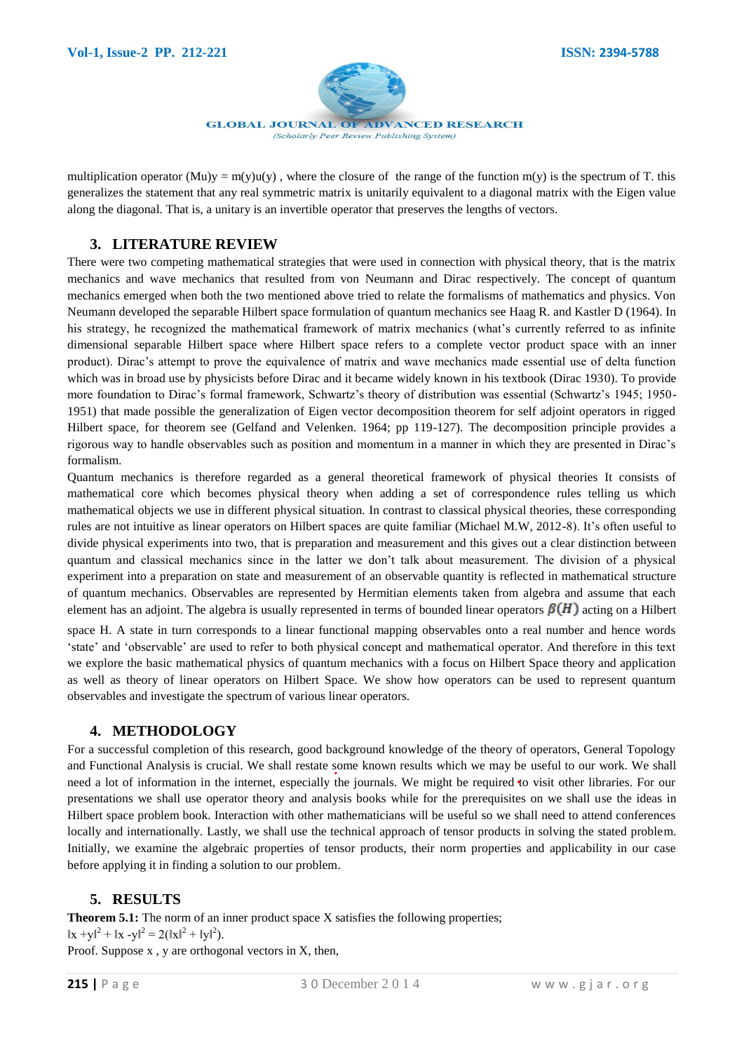

multiplication operator  $(Mu)y = m(y)u(y)$ , where the closure of the range of the function  $m(y)$  is the spectrum of T. this generalizes the statement that any real symmetric matrix is unitarily equivalent to a diagonal matrix with the Eigen value along the diagonal. That is, a unitary is an invertible operator that preserves the lengths of vectors.

# **3. LITERATURE REVIEW**

There were two competing mathematical strategies that were used in connection with physical theory, that is the matrix mechanics and wave mechanics that resulted from von Neumann and Dirac respectively. The concept of quantum mechanics emerged when both the two mentioned above tried to relate the formalisms of mathematics and physics. Von Neumann developed the separable Hilbert space formulation of quantum mechanics see Haag R. and Kastler D (1964). In his strategy, he recognized the mathematical framework of matrix mechanics (what's currently referred to as infinite dimensional separable Hilbert space where Hilbert space refers to a complete vector product space with an inner product). Dirac's attempt to prove the equivalence of matrix and wave mechanics made essential use of delta function which was in broad use by physicists before Dirac and it became widely known in his textbook (Dirac 1930). To provide more foundation to Dirac's formal framework, Schwartz's theory of distribution was essential (Schwartz's 1945; 1950- 1951) that made possible the generalization of Eigen vector decomposition theorem for self adjoint operators in rigged Hilbert space, for theorem see (Gelfand and Velenken. 1964; pp 119-127). The decomposition principle provides a rigorous way to handle observables such as position and momentum in a manner in which they are presented in Dirac's formalism.

Quantum mechanics is therefore regarded as a general theoretical framework of physical theories It consists of mathematical core which becomes physical theory when adding a set of correspondence rules telling us which mathematical objects we use in different physical situation. In contrast to classical physical theories, these corresponding rules are not intuitive as linear operators on Hilbert spaces are quite familiar (Michael M.W, 2012-8). It's often useful to divide physical experiments into two, that is preparation and measurement and this gives out a clear distinction between quantum and classical mechanics since in the latter we don't talk about measurement. The division of a physical experiment into a preparation on state and measurement of an observable quantity is reflected in mathematical structure of quantum mechanics. Observables are represented by Hermitian elements taken from algebra and assume that each element has an adjoint. The algebra is usually represented in terms of bounded linear operators  $\mathcal{B}(H)$  acting on a Hilbert

space H. A state in turn corresponds to a linear functional mapping observables onto a real number and hence words 'state' and 'observable' are used to refer to both physical concept and mathematical operator. And therefore in this text we explore the basic mathematical physics of quantum mechanics with a focus on Hilbert Space theory and application as well as theory of linear operators on Hilbert Space. We show how operators can be used to represent quantum observables and investigate the spectrum of various linear operators.

## **4. METHODOLOGY**

For a successful completion of this research, good background knowledge of the theory of operators, General Topology and Functional Analysis is crucial. We shall restate some known results which we may be useful to our work. We shall need a lot of information in the internet, especially the journals. We might be required to visit other libraries. For our presentations we shall use operator theory and analysis books while for the prerequisites on we shall use the ideas in Hilbert space problem book. Interaction with other mathematicians will be useful so we shall need to attend conferences locally and internationally. Lastly, we shall use the technical approach of tensor products in solving the stated problem. Initially, we examine the algebraic properties of tensor products, their norm properties and applicability in our case before applying it in finding a solution to our problem.

# **5. RESULTS**

**Theorem 5.1:** The norm of an inner product space X satisfies the following properties;  $\|x + y\|^2 + \|x - y\|^2 = 2(\|x\|^2 + \|y\|^2).$ Proof. Suppose x, y are orthogonal vectors in X, then,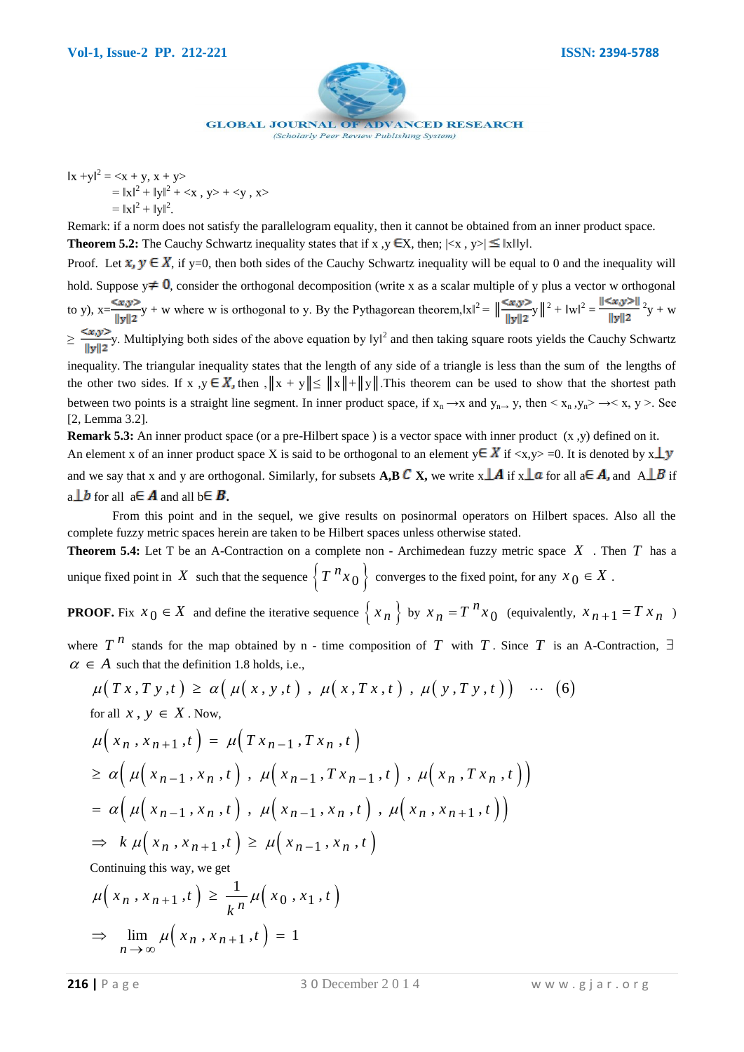

 $||x + y||^2 = \langle x + y, x + y \rangle$  $= ||x||^2 + ||y||^2 + \langle x, y \rangle + \langle y, x \rangle$  $= ||x||^2 + ||y||^2.$ 

Remark: if a norm does not satisfy the parallelogram equality, then it cannot be obtained from an inner product space. **Theorem 5.2:** The Cauchy Schwartz inequality states that if x,  $y \in X$ , then;  $\left| \langle x, y \rangle \right| \leq \|x\| \|y\|$ .

Proof. Let  $x, y \in X$ , if y=0, then both sides of the Cauchy Schwartz inequality will be equal to 0 and the inequality will hold. Suppose  $y \neq 0$ , consider the orthogonal decomposition (write x as a scalar multiple of y plus a vector w orthogonal to y),  $x = \sqrt{x}y^2$  + w where w is orthogonal to y. By the Pythagorean theorem,  $||x||^2 = ||\frac{\sqrt{x}}{||u||^2}||^2 + ||w||^2 = \frac{||\sqrt{x}}{||u||^2}||^2 + ||w||^2 = \frac{||\sqrt{x}}{||u||^2}||^2$  $\geq \frac{2\pi r}{\pi}$ y. Multiplying both sides of the above equation by lyl<sup>2</sup> and then taking square roots yields the Cauchy Schwartz

inequality. The triangular inequality states that the length of any side of a triangle is less than the sum of the lengths of the other two sides. If x ,y  $\in X$ , then ,  $||x + y|| \le ||x|| + ||y||$ . This theorem can be used to show that the shortest path between two points is a straight line segment. In inner product space, if  $x_n \to x$  and  $y_{n\to} y$ , then  $\langle x_n, y_n \rangle \to \langle x, y \rangle$ . See [2, Lemma 3.2].

**Remark 5.3:** An inner product space (or a pre-Hilbert space) is a vector space with inner product (x, y) defined on it. An element x of an inner product space X is said to be orthogonal to an element  $y \in X$  if  $\langle x, y \rangle = 0$ . It is denoted by  $x \perp y$ and we say that x and y are orthogonal. Similarly, for subsets **A,B** C X, we write  $x \perp A$  if  $x \perp a$  for all a  $\in A$ , and  $A \perp B$  if a  $\perp b$  for all a  $\in$  **A** and all b  $\in$  **B**.

From this point and in the sequel, we give results on posinormal operators on Hilbert spaces. Also all the complete fuzzy metric spaces herein are taken to be Hilbert spaces unless otherwise stated.

**Theorem 5.4:** Let T be an A-Contraction on a complete non - Archimedean fuzzy metric space *X* . Then *T* has a unique fixed point in X such that the sequence  $\left\{T \right\}^n x_0 \right\}$  converges to the fixed point, for any  $x_0 \in X$ .

**PROOF.** Fix  $x_0 \in X$  and define the iterative sequence  $\{x_n\}$  by  $x_n = T^n x_0$ *n*  $x_n = T^n x_0$  (equivalently,  $x_{n+1} = T x_n$ )

where  $T^{n}$  stands for the map obtained by n - time composition of T with T. Since T is an A-Contraction,  $\exists$  $\alpha \in A$  such that the definition 1.8 holds, i.e., *T*<sup>*n*</sup> stands for the map obtained by n - time composition of *T* with *T*. Since *T* is an <br> *A* such that the definition 1.8 holds, i.e.,<br>  $\mu(Tx, Ty, t) \ge \alpha \left( \mu(x, y, t) \right), \mu(x, Tx, t) , \mu(y, Ty, t) \right) \cdots (6)$ 

$$
\mu(Tx, Ty, t) \ge \alpha \big( \mu(x, y, t) , \mu(x, Tx, t) , \mu(y, Ty, t) \big) \cdots (6)
$$
  
for all  $x \ y \in X$  Now

for all 
$$
x, y \in X
$$
. Now,  
\n
$$
\mu(x_n, x_{n+1}, t) = \mu(Tx_{n-1}, Tx_n, t)
$$
\n
$$
\geq \alpha \Big( \mu(x_{n-1}, x_n, t) , \mu(x_{n-1}, Tx_{n-1}, t) , \mu(x_n, Tx_n, t) \Big)
$$
\n
$$
= \alpha \Big( \mu(x_{n-1}, x_n, t) , \mu(x_{n-1}, x_n, t) , \mu(x_n, x_{n+1}, t) \Big)
$$
\n
$$
\Rightarrow k \mu(x_n, x_{n+1}, t) \geq \mu(x_{n-1}, x_n, t)
$$

Continuing this way, we get  
\n
$$
\mu\left(x_n, x_{n+1}, t\right) \ge \frac{1}{k^n} \mu\left(x_0, x_1, t\right)
$$
\n
$$
\Rightarrow \lim_{n \to \infty} \mu\left(x_n, x_{n+1}, t\right) = 1
$$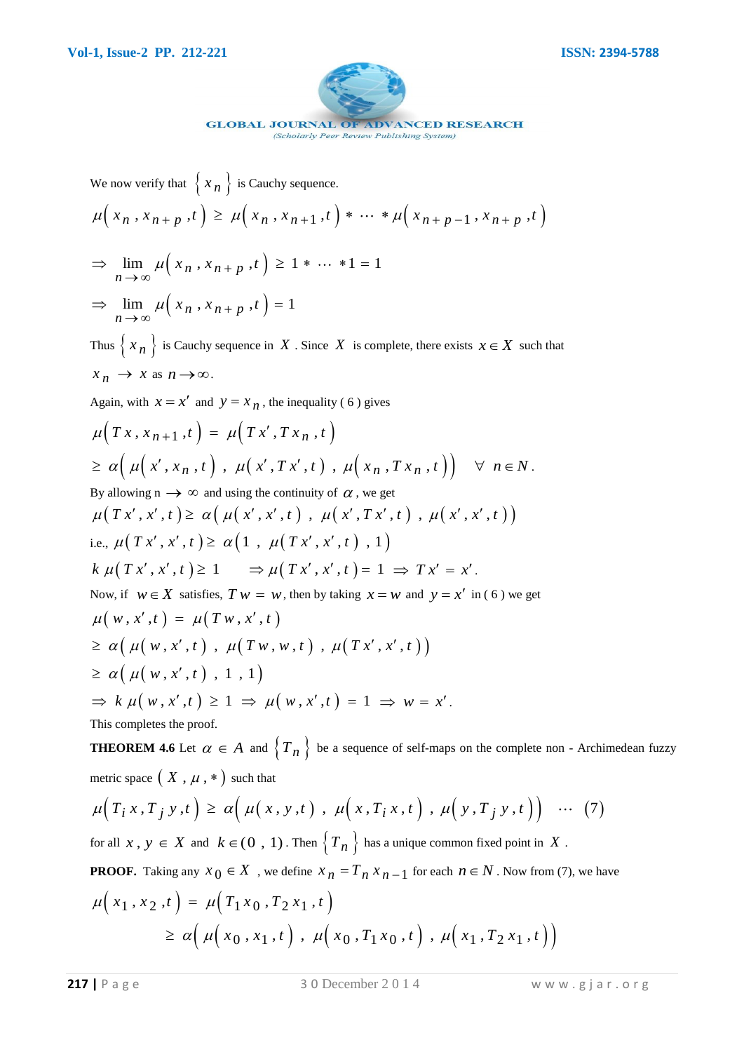

(Scholarly Peer Review Publishing System)

We now verify that  $\{x_n\}$  is Cauchy sequence.

We now verify that 
$$
\{x_n\}
$$
 is Cauchy sequence.  
\n
$$
\mu\Big(x_n, x_{n+p}, t\Big) \ge \mu\Big(x_n, x_{n+1}, t\Big) * \cdots * \mu\Big(x_{n+p-1}, x_{n+p}, t\Big)
$$

- $\lim_{n \to \infty} \mu\left(x_n, x_{n+p}, t\right) \ge 1 * \dots * 1 = 1$  $\lim_{x \to \infty} \mu\left(x\right)$ ⇒  $\lim_{n \to \infty} \mu(x_n, x_{n+p}, t) \ge 1 * ... * 1 = 1$
- $\lim_{n \to \infty} \mu\left(x_n, x_{n+p}, t\right) = 1$  $\lim_{x\to\infty}\mu\Big($  $\Rightarrow \lim_{n \to \infty} \mu(x_n, x_{n+p}, t) = 1$

Thus  $\{x_n\}$  is Cauchy sequence in X. Since X is complete, there exists  $x \in X$  such that  $x_n \to x$  as  $n \to \infty$ .

Again, with 
$$
x = x'
$$
 and  $y = x_n$ , the inequality (6) gives  
\n
$$
\mu\Big(Tx, x_{n+1}, t\Big) = \mu\Big(Tx', Tx_n, t\Big)
$$
\n
$$
\geq \alpha\Big(\mu\Big(x', x_n, t\Big), \mu\Big(x', Tx', t\Big), \mu\Big(x_n, Tx_n, t\Big)\Big) \quad \forall \ n \in N.
$$
\nBy allowing  $n \to \infty$  and using the continuity of  $\alpha$ , we get  
\n
$$
\mu\Big(Tx', x', t\Big) \geq \alpha\Big(\mu\Big(x', x', t\Big), \mu\Big(x', Tx', t\Big), \mu\Big(x', x', t\Big)\Big)
$$
\ni.e.,  $\mu\Big(Tx', x', t\Big) \geq \alpha\Big(1, \mu\Big(Tx', x', t\Big), 1\Big)$   
\n
$$
k \mu\Big(Tx', x', t\Big) \geq 1 \implies \mu\Big(Tx', x', t\Big) = 1 \implies Tx' = x'.
$$
\nNow, if  $w \in X$  satisfies,  $Tw = w$ , then by taking  $x = w$  and  $y = x'$  in (6) we get  
\n
$$
\mu\Big(w, x', t\Big) = \mu\Big(Tw, x', t\Big)
$$
\n
$$
\geq \alpha\Big(\mu\Big(w, x', t\Big), \mu\Big(Tw, w, t\Big), \mu\Big(Tx', x', t\Big)\Big)
$$
\n
$$
\geq \alpha\Big(\mu\Big(w, x', t\Big), 1, 1\Big)
$$
\n
$$
\Rightarrow k \mu\Big(w, x', t\Big) \geq 1 \implies \mu\Big(w, x', t\Big) = 1 \implies w = x'.
$$
\nThis completes the proof.

**THEOREM 4.6** Let  $\alpha \in A$  and  $\{T_n\}$  be a sequence of self-maps on the complete non - Archimedean fuzzy metric space  $(X, \mu, *)$  such that  $\mu(T_i x, T_j y, t) \ge \alpha \Big(\mu(x, y, t) , \mu(x, T_i x, t) , \mu(y, T_j y, t) \Big) \cdots (7)$ metric space  $(X, \mu, *)$  such that

$$
\mu\big(T_i x, T_j y, t\big) \ge \alpha\big(\mu\big(x, y, t\big), \mu\big(x, T_i x, t\big), \mu\big(y, T_j y, t\big)\big) \quad \cdots \quad (7)
$$

for all  $x, y \in X$  and  $k \in (0, 1)$ . Then  $\left\{T_n\right\}$  has a unique common fixed point in X.

**PROOF.** Taking any  $x_0 \in X$ , we define  $x_n = T_n x_{n-1}$  for each  $n \in N$ . Now from (7), we have  $\mu(x_1, x_2, t) = \mu(T_1 x_0, T_2 x_1, t)$  $\ge \alpha \left( \mu \left( x_0, x_1, t \right) , \mu \left( x_0, T_1 x_0, t \right) , \mu \left( x_1, T_2 x_1, t \right) \right)$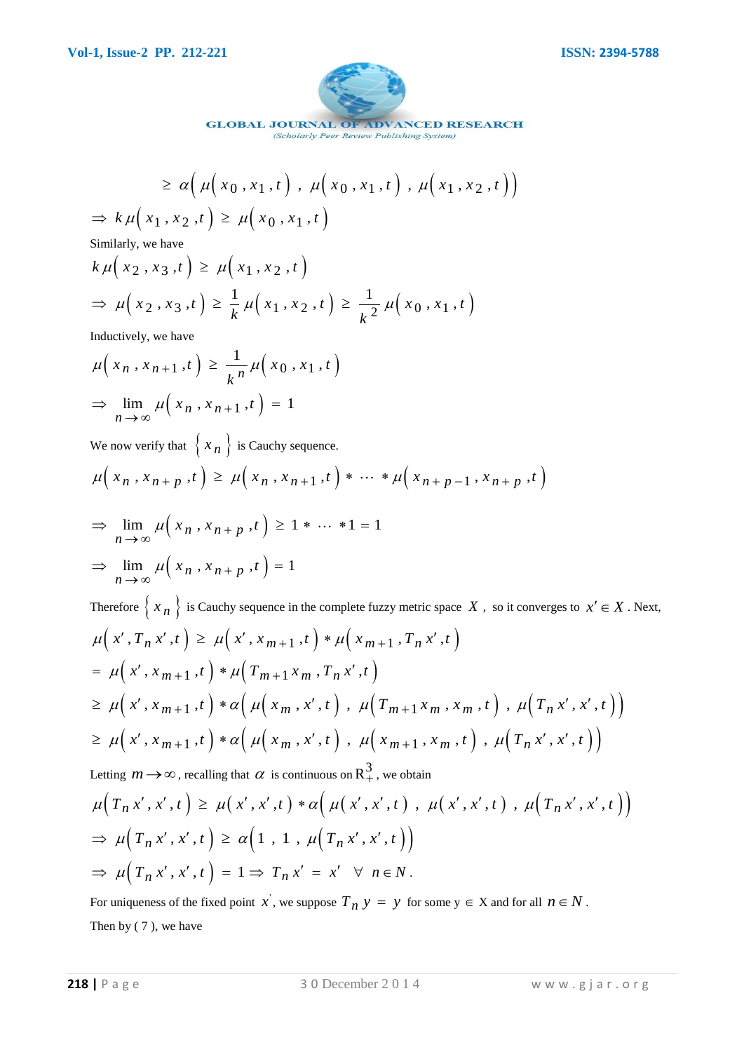

**ADVANCED RESEARCH GLOBAL JOURNAL OF** 

$$
\geq \alpha \Big( \mu \Big( x_0, x_1, t \Big) , \mu \Big( x_0, x_1, t \Big) , \mu \Big( x_1, x_2, t \Big) \Big)
$$
  

$$
k \mu \Big( x_1, x_2, t \Big) \geq \mu \Big( x_0, x_1, t \Big)
$$

Similarly, we have

Similarly, we have  
\n
$$
k \mu(x_2, x_3, t) \ge \mu(x_1, x_2, t)
$$
  
\n $\Rightarrow \mu(x_2, x_3, t) \ge \frac{1}{k} \mu(x_1, x_2, t) \ge \frac{1}{k^2} \mu(x_0, x_1, t)$ 

Inductively, we have

Inductively, we have  
\n
$$
\mu\left(x_n, x_{n+1}, t\right) \ge \frac{1}{k^n} \mu\left(x_0, x_1, t\right)
$$
\n
$$
\Rightarrow \lim_{n \to \infty} \mu\left(x_n, x_{n+1}, t\right) = 1
$$

We now verify that  $\{ x_n \}$  is Cauchy sequence.

We now verify that 
$$
\{x_n\}
$$
 is Cauchy sequence.  
\n
$$
\mu\Big(x_n, x_{n+p}, t\Big) \ge \mu\Big(x_n, x_{n+1}, t\Big) * \cdots * \mu\Big(x_{n+p-1}, x_{n+p}, t\Big)
$$

$$
\Rightarrow \lim_{n \to \infty} \mu(x_n, x_{n+p}, t) \ge 1 * \dots * 1 = 1
$$
  

$$
\Rightarrow \lim_{n \to \infty} \mu(x_n, x_{n+p}, t) = 1
$$

Therefore  $\{x_n\}$  is Cauchy sequence in the complete fuzzy metric space X, so it converges to  $x' \in X$ . Next, Therefore  $\left\{ x_n \right\}$  is Cauchy sequence in the complete fuzzy metric space  $X$ , s<br>  $\mu\left(x', T_n x', t\right) \ge \mu\left(x', x_{m+1}, t\right) * \mu\left(x_{m+1}, T_n x', t\right)$  $\mu(x', T_n x', t) \ge \mu(x', x_{m+1}, t) * \mu(x_{m+1}, T_n x', t)$ <br>=  $\mu(x', x_{m+1}, t) * \mu(T_{m+1} x_m, T_n x', t)$  $\mu(x', T_n x', t) \ge \mu(x', x_{m+1}, t) * \mu(x_{m+1}, T_n x', t)$ <br>=  $\mu(x', x_{m+1}, t) * \mu(T_{m+1} x_m, T_n x', t)$ <br> $\ge \mu(x', x_{m+1}, t) * \alpha(\mu(x_m, x', t), \mu(T_{m+1} x_m, x_m, t), \mu(T_n x', x', t))$ =  $\mu(x, x_{m+1},t) * \mu(T_{m+1}x_m, T_n x, t)$ <br>  $\geq \mu(x', x_{m+1},t) * \alpha(\mu(x_m, x',t), \mu(T_{m+1}x_m, x_m, t), \mu(T_n x', x', t))$ <br>  $\geq \mu(x', x_{m+1},t) * \alpha(\mu(x_m, x', t), \mu(x_{m+1}, x_m, t), \mu(T_n x', x', t))$  $\geq \mu(x', x_{m+1}, t) * \alpha(\mu(x_m, x', t), \mu(x_{m+1}, x_m, t), \mu(T_n x', x', t))$ 

Letting  $m \rightarrow \infty$ , recalling that  $\alpha$  is continuous on  $\mathbb{R}^3_+$ , we obtain

$$
\mu\Big(T_n x', x', t\Big) \ge \mu\Big(x', x', t\Big) * \alpha\Big(\mu\Big(x', x', t\Big), \mu\Big(x', x', t\Big), \mu\Big(T_n x', x', t\Big)\Big)
$$
  
\n
$$
\Rightarrow \mu\Big(T_n x', x', t\Big) \ge \alpha\Big(1, 1, \mu\Big(T_n x', x', t\Big)\Big)
$$
  
\n
$$
\Rightarrow \mu\Big(T_n x', x', t\Big) = 1 \Rightarrow T_n x' = x' \quad \forall n \in N.
$$

For uniqueness of the fixed point x, we suppose  $T_n$   $y = y$  for some  $y \in X$  and for all  $n \in N$ . Then by ( 7 ), we have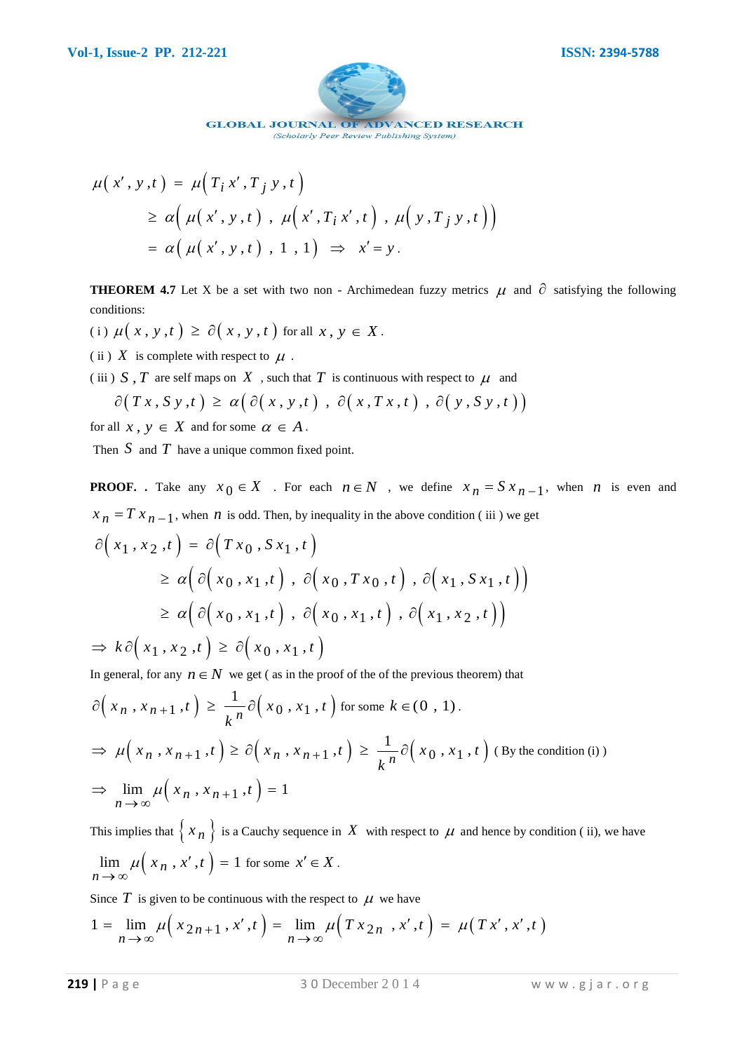

$$
\mu(x', y, t) = \mu(T_i x', T_j y, t)
$$
  
\n
$$
\geq \alpha (\mu(x', y, t), \mu(x', T_i x', t), \mu(y, T_j y, t))
$$
  
\n
$$
= \alpha (\mu(x', y, t), 1, 1) \Rightarrow x' = y.
$$

**THEOREM 4.7** Let X be a set with two non - Archimedean fuzzy metrics  $\mu$  and  $\partial$  satisfying the following conditions:

- (i)  $\mu(x, y, t) \ge \partial(x, y, t)$  for all  $x, y \in X$ .
- (ii)  $X$  is complete with respect to  $\mu$ .

(iii)  $S$ ,  $T$  are self maps on  $X$ , such that  $T$  is continuous with respect to  $\mu$  and

X is complete with respect to 
$$
\mu
$$
.  
\nS, T are self maps on X , such that T is continuous with respect to  $\mu$  and  
\n $\partial(Tx, Sy, t) \ge \alpha(\partial(x, y, t), \partial(x, Tx, t), \partial(y, Sy, t))$ 

for all  $x, y \in X$  and for some  $\alpha \in A$ .

Then  $S$  and  $T$  have a unique common fixed point.

**PROOF.** Take any  $x_0 \in X$ . For each  $n \in N$ , we define  $x_n = S x_{n-1}$ , when *n* is even and

$$
x_n = Tx_{n-1}
$$
, when *n* is odd. Then, by inequality in the above condition (iii) we get  
\n
$$
\partial(x_1, x_2, t) = \partial(Tx_0, Sx_1, t)
$$
\n
$$
\geq \alpha \Big( \partial(x_0, x_1, t), \partial(x_0, Tx_0, t), \partial(x_1, Sx_1, t) \Big)
$$
\n
$$
\geq \alpha \Big( \partial(x_0, x_1, t), \partial(x_0, x_1, t), \partial(x_1, x_2, t) \Big)
$$
\n
$$
\Rightarrow k \partial(x_1, x_2, t) \geq \partial(x_0, x_1, t)
$$

In general, for any 
$$
n \in N
$$
 we get ( as in the proof of the of the previous theorem) that  
\n
$$
\partial \left( x_n, x_{n+1}, t \right) \ge \frac{1}{k^n} \partial \left( x_0, x_1, t \right) \text{ for some } k \in (0, 1).
$$
\n
$$
\Rightarrow \mu \left( x_n, x_{n+1}, t \right) \ge \partial \left( x_n, x_{n+1}, t \right) \ge \frac{1}{k^n} \partial \left( x_0, x_1, t \right) \text{ (By the condition (i))}
$$
\n
$$
\Rightarrow \lim_{n \to \infty} \mu \left( x_n, x_{n+1}, t \right) = 1
$$

This implies that  $\{x_n\}$  is a Cauchy sequence in X with respect to  $\mu$  and hence by condition (ii), we have  $\lim_{n \to \infty} \mu\left(x_n, x', t\right) = 1$  $\mu(x_n, x', t)$  $\lim_{n \to \infty} \mu(x_n, x', t) = 1$  for some  $x' \in X$ .

Since  $T$  is given to be continuous with the respect to  $\mu$  we have

Since 
$$
T
$$
 is given to be continuous with the respect to  $\mu$  we have  
\n
$$
1 = \lim_{n \to \infty} \mu\left(x_{2n+1}, x', t\right) = \lim_{n \to \infty} \mu\left(T x_{2n}, x', t\right) = \mu\left(T x', x', t\right)
$$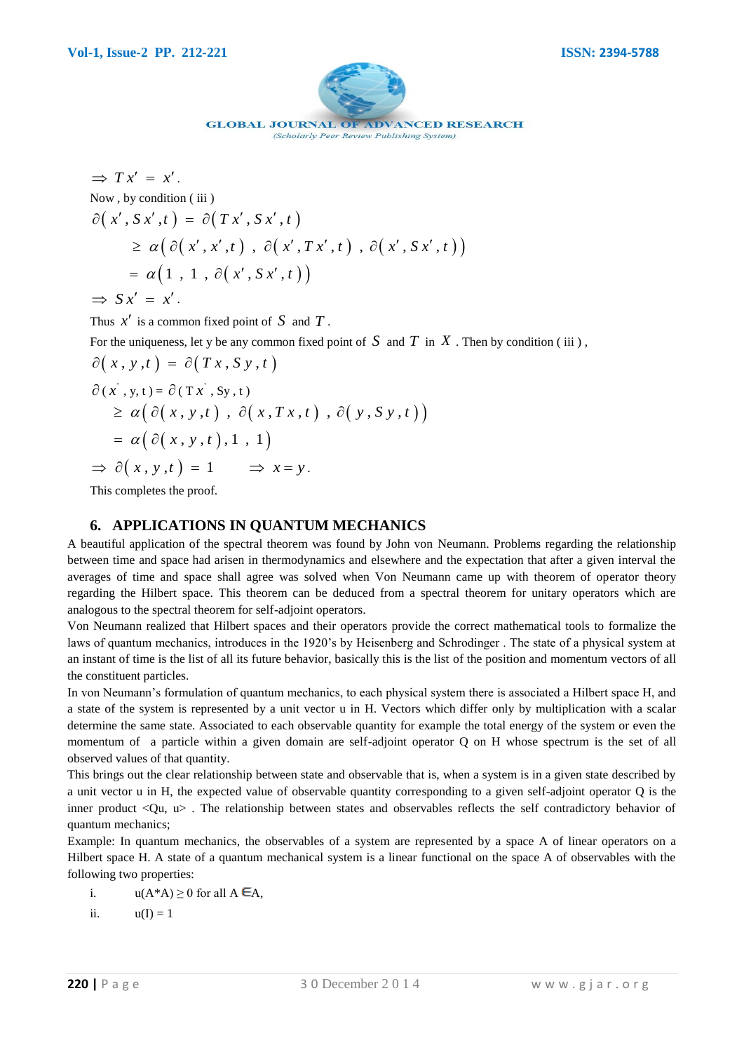

(Scholarly Peer Review Publishing System)

$$
\Rightarrow Tx' = x'.
$$
  
\nNow, by condition (iii)  
\n
$$
\partial(x', Sx', t) = \partial(Tx', Sx', t)
$$
  
\n
$$
\geq \alpha(\partial(x', x', t), \partial(x', Tx', t), \partial(x', Sx', t))
$$
  
\n
$$
= \alpha(1, 1, \partial(x', Sx', t))
$$
  
\n
$$
\Rightarrow Sx' = x'.
$$

Thus  $x'$  is a common fixed point of  $S$  and  $T$ .

For the uniqueness, let y be any common fixed point of  $S$  and  $T$  in  $X$ . Then by condition (iii),  $\partial (x, y, t) = \partial (Tx, S y, t)$ 

$$
\partial(x, y, t) = \partial(T x, S y, t)
$$
  
\n
$$
\partial(x, y, t) = \partial(T x, S y, t)
$$
  
\n
$$
\geq \alpha \Big( \partial(x, y, t) , \partial(x, Tx, t) , \partial(y, S y, t) \Big)
$$
  
\n
$$
= \alpha \Big( \partial(x, y, t) , 1 , 1 \Big)
$$
  
\n
$$
\Rightarrow \partial(x, y, t) = 1 \Rightarrow x = y.
$$

This completes the proof.

#### **6. APPLICATIONS IN QUANTUM MECHANICS**

A beautiful application of the spectral theorem was found by John von Neumann. Problems regarding the relationship between time and space had arisen in thermodynamics and elsewhere and the expectation that after a given interval the averages of time and space shall agree was solved when Von Neumann came up with theorem of operator theory regarding the Hilbert space. This theorem can be deduced from a spectral theorem for unitary operators which are analogous to the spectral theorem for self-adjoint operators.

Von Neumann realized that Hilbert spaces and their operators provide the correct mathematical tools to formalize the laws of quantum mechanics, introduces in the 1920's by Heisenberg and Schrodinger . The state of a physical system at an instant of time is the list of all its future behavior, basically this is the list of the position and momentum vectors of all the constituent particles.

In von Neumann's formulation of quantum mechanics, to each physical system there is associated a Hilbert space H, and a state of the system is represented by a unit vector u in H. Vectors which differ only by multiplication with a scalar determine the same state. Associated to each observable quantity for example the total energy of the system or even the momentum of a particle within a given domain are self-adjoint operator Q on H whose spectrum is the set of all observed values of that quantity.

This brings out the clear relationship between state and observable that is, when a system is in a given state described by a unit vector u in H, the expected value of observable quantity corresponding to a given self-adjoint operator Q is the inner product <Qu, u> . The relationship between states and observables reflects the self contradictory behavior of quantum mechanics;

Example: In quantum mechanics, the observables of a system are represented by a space A of linear operators on a Hilbert space H. A state of a quantum mechanical system is a linear functional on the space A of observables with the following two properties:

- i.  $u(A^*A) \ge 0$  for all  $A \in A$ ,
- ii.  $u(I) = 1$